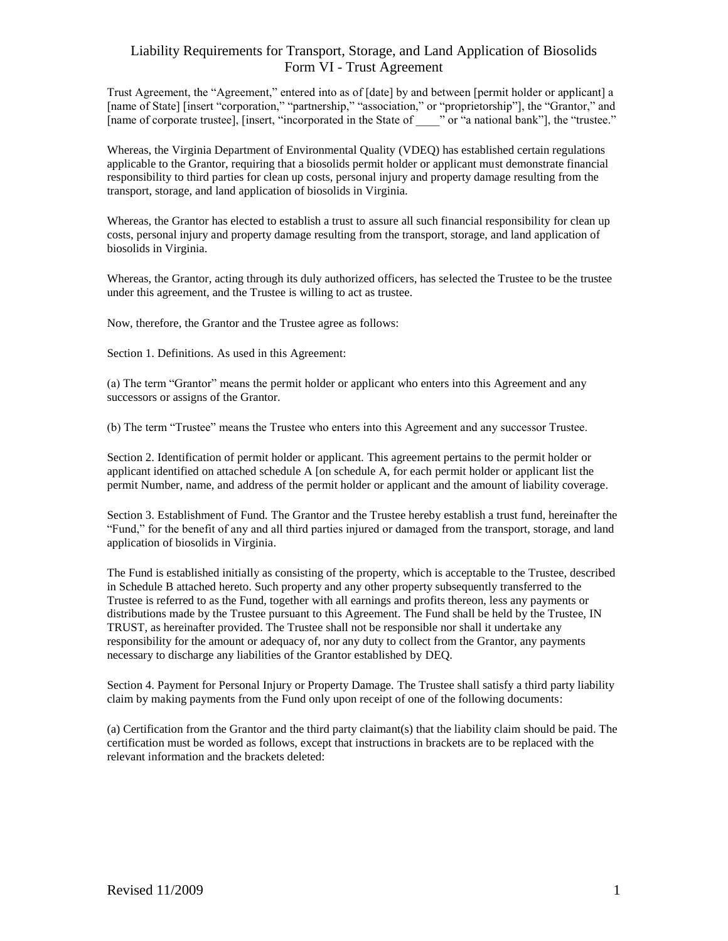Trust Agreement, the "Agreement," entered into as of [date] by and between [permit holder or applicant] a [name of State] [insert "corporation," "partnership," "association," or "proprietorship"], the "Grantor," and [name of corporate trustee], [insert, "incorporated in the State of \_\_\_\_" or "a national bank"], the "trustee."

Whereas, the Virginia Department of Environmental Quality (VDEQ) has established certain regulations applicable to the Grantor, requiring that a biosolids permit holder or applicant must demonstrate financial responsibility to third parties for clean up costs, personal injury and property damage resulting from the transport, storage, and land application of biosolids in Virginia.

Whereas, the Grantor has elected to establish a trust to assure all such financial responsibility for clean up costs, personal injury and property damage resulting from the transport, storage, and land application of biosolids in Virginia.

Whereas, the Grantor, acting through its duly authorized officers, has selected the Trustee to be the trustee under this agreement, and the Trustee is willing to act as trustee.

Now, therefore, the Grantor and the Trustee agree as follows:

Section 1. Definitions. As used in this Agreement:

(a) The term "Grantor" means the permit holder or applicant who enters into this Agreement and any successors or assigns of the Grantor.

(b) The term "Trustee" means the Trustee who enters into this Agreement and any successor Trustee.

Section 2. Identification of permit holder or applicant*.* This agreement pertains to the permit holder or applicant identified on attached schedule A [on schedule A, for each permit holder or applicant list the permit Number, name, and address of the permit holder or applicant and the amount of liability coverage.

Section 3. Establishment of Fund*.* The Grantor and the Trustee hereby establish a trust fund, hereinafter the "Fund," for the benefit of any and all third parties injured or damaged from the transport, storage, and land application of biosolids in Virginia.

The Fund is established initially as consisting of the property, which is acceptable to the Trustee, described in Schedule B attached hereto. Such property and any other property subsequently transferred to the Trustee is referred to as the Fund, together with all earnings and profits thereon, less any payments or distributions made by the Trustee pursuant to this Agreement. The Fund shall be held by the Trustee, IN TRUST, as hereinafter provided. The Trustee shall not be responsible nor shall it undertake any responsibility for the amount or adequacy of, nor any duty to collect from the Grantor, any payments necessary to discharge any liabilities of the Grantor established by DEQ.

Section 4. Payment for Personal Injury or Property Damage*.* The Trustee shall satisfy a third party liability claim by making payments from the Fund only upon receipt of one of the following documents:

(a) Certification from the Grantor and the third party claimant(s) that the liability claim should be paid. The certification must be worded as follows, except that instructions in brackets are to be replaced with the relevant information and the brackets deleted: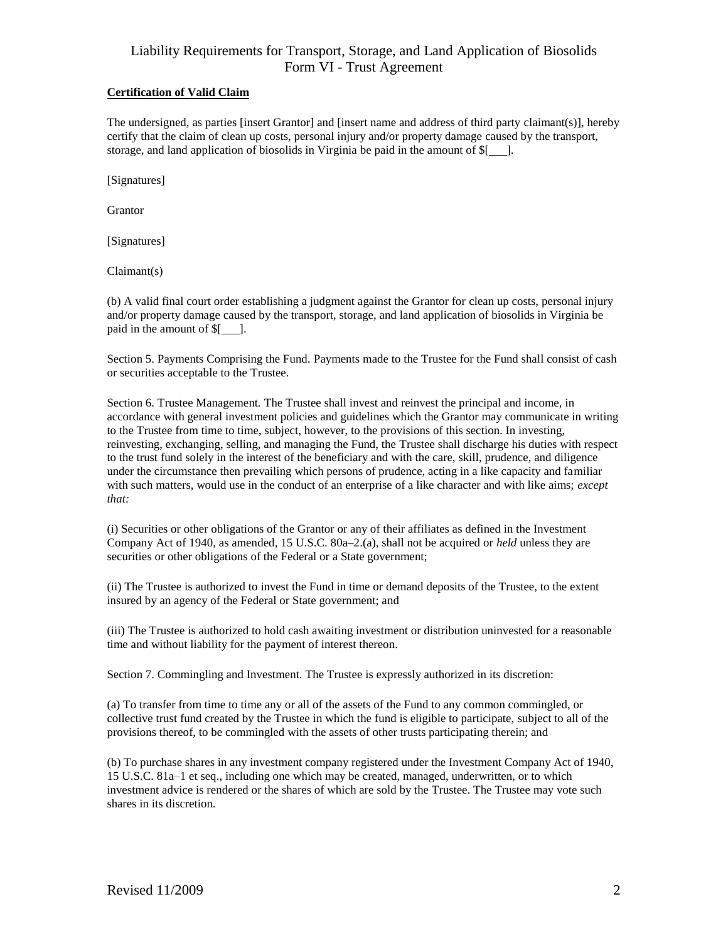#### **Certification of Valid Claim**

The undersigned, as parties [insert Grantor] and [insert name and address of third party claimant(s)], hereby certify that the claim of clean up costs, personal injury and/or property damage caused by the transport, storage, and land application of biosolids in Virginia be paid in the amount of  $\frac{1}{2}$ .

[Signatures]

Grantor

[Signatures]

Claimant(s)

(b) A valid final court order establishing a judgment against the Grantor for clean up costs, personal injury and/or property damage caused by the transport, storage, and land application of biosolids in Virginia be paid in the amount of  $$$ [ ].

Section 5. Payments Comprising the Fund*.* Payments made to the Trustee for the Fund shall consist of cash or securities acceptable to the Trustee.

Section 6. Trustee Management*.* The Trustee shall invest and reinvest the principal and income, in accordance with general investment policies and guidelines which the Grantor may communicate in writing to the Trustee from time to time, subject, however, to the provisions of this section. In investing, reinvesting, exchanging, selling, and managing the Fund, the Trustee shall discharge his duties with respect to the trust fund solely in the interest of the beneficiary and with the care, skill, prudence, and diligence under the circumstance then prevailing which persons of prudence, acting in a like capacity and familiar with such matters, would use in the conduct of an enterprise of a like character and with like aims; *except that:*

(i) Securities or other obligations of the Grantor or any of their affiliates as defined in the Investment Company Act of 1940, as amended, 15 U.S.C. 80a–2.(a), shall not be acquired or *held* unless they are securities or other obligations of the Federal or a State government;

(ii) The Trustee is authorized to invest the Fund in time or demand deposits of the Trustee, to the extent insured by an agency of the Federal or State government; and

(iii) The Trustee is authorized to hold cash awaiting investment or distribution uninvested for a reasonable time and without liability for the payment of interest thereon.

Section 7. Commingling and Investment*.* The Trustee is expressly authorized in its discretion:

(a) To transfer from time to time any or all of the assets of the Fund to any common commingled, or collective trust fund created by the Trustee in which the fund is eligible to participate, subject to all of the provisions thereof, to be commingled with the assets of other trusts participating therein; and

(b) To purchase shares in any investment company registered under the Investment Company Act of 1940, 15 U.S.C. 81a–1 et seq., including one which may be created, managed, underwritten, or to which investment advice is rendered or the shares of which are sold by the Trustee. The Trustee may vote such shares in its discretion.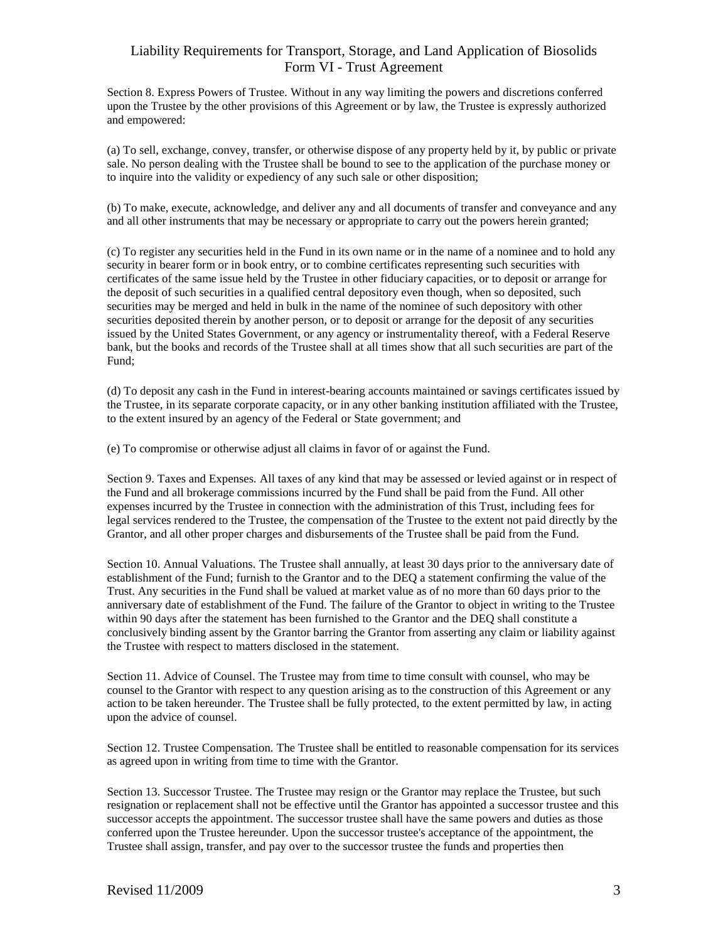Section 8. Express Powers of Trustee*.* Without in any way limiting the powers and discretions conferred upon the Trustee by the other provisions of this Agreement or by law, the Trustee is expressly authorized and empowered:

(a) To sell, exchange, convey, transfer, or otherwise dispose of any property held by it, by public or private sale. No person dealing with the Trustee shall be bound to see to the application of the purchase money or to inquire into the validity or expediency of any such sale or other disposition;

(b) To make, execute, acknowledge, and deliver any and all documents of transfer and conveyance and any and all other instruments that may be necessary or appropriate to carry out the powers herein granted;

(c) To register any securities held in the Fund in its own name or in the name of a nominee and to hold any security in bearer form or in book entry, or to combine certificates representing such securities with certificates of the same issue held by the Trustee in other fiduciary capacities, or to deposit or arrange for the deposit of such securities in a qualified central depository even though, when so deposited, such securities may be merged and held in bulk in the name of the nominee of such depository with other securities deposited therein by another person, or to deposit or arrange for the deposit of any securities issued by the United States Government, or any agency or instrumentality thereof, with a Federal Reserve bank, but the books and records of the Trustee shall at all times show that all such securities are part of the Fund;

(d) To deposit any cash in the Fund in interest-bearing accounts maintained or savings certificates issued by the Trustee, in its separate corporate capacity, or in any other banking institution affiliated with the Trustee, to the extent insured by an agency of the Federal or State government; and

(e) To compromise or otherwise adjust all claims in favor of or against the Fund.

Section 9. Taxes and Expenses*.* All taxes of any kind that may be assessed or levied against or in respect of the Fund and all brokerage commissions incurred by the Fund shall be paid from the Fund. All other expenses incurred by the Trustee in connection with the administration of this Trust, including fees for legal services rendered to the Trustee, the compensation of the Trustee to the extent not paid directly by the Grantor, and all other proper charges and disbursements of the Trustee shall be paid from the Fund.

Section 10. Annual Valuations*.* The Trustee shall annually, at least 30 days prior to the anniversary date of establishment of the Fund; furnish to the Grantor and to the DEQ a statement confirming the value of the Trust. Any securities in the Fund shall be valued at market value as of no more than 60 days prior to the anniversary date of establishment of the Fund. The failure of the Grantor to object in writing to the Trustee within 90 days after the statement has been furnished to the Grantor and the DEQ shall constitute a conclusively binding assent by the Grantor barring the Grantor from asserting any claim or liability against the Trustee with respect to matters disclosed in the statement.

Section 11. Advice of Counsel*.* The Trustee may from time to time consult with counsel, who may be counsel to the Grantor with respect to any question arising as to the construction of this Agreement or any action to be taken hereunder. The Trustee shall be fully protected, to the extent permitted by law, in acting upon the advice of counsel.

Section 12. Trustee Compensation*.* The Trustee shall be entitled to reasonable compensation for its services as agreed upon in writing from time to time with the Grantor.

Section 13. Successor Trustee*.* The Trustee may resign or the Grantor may replace the Trustee, but such resignation or replacement shall not be effective until the Grantor has appointed a successor trustee and this successor accepts the appointment. The successor trustee shall have the same powers and duties as those conferred upon the Trustee hereunder. Upon the successor trustee's acceptance of the appointment, the Trustee shall assign, transfer, and pay over to the successor trustee the funds and properties then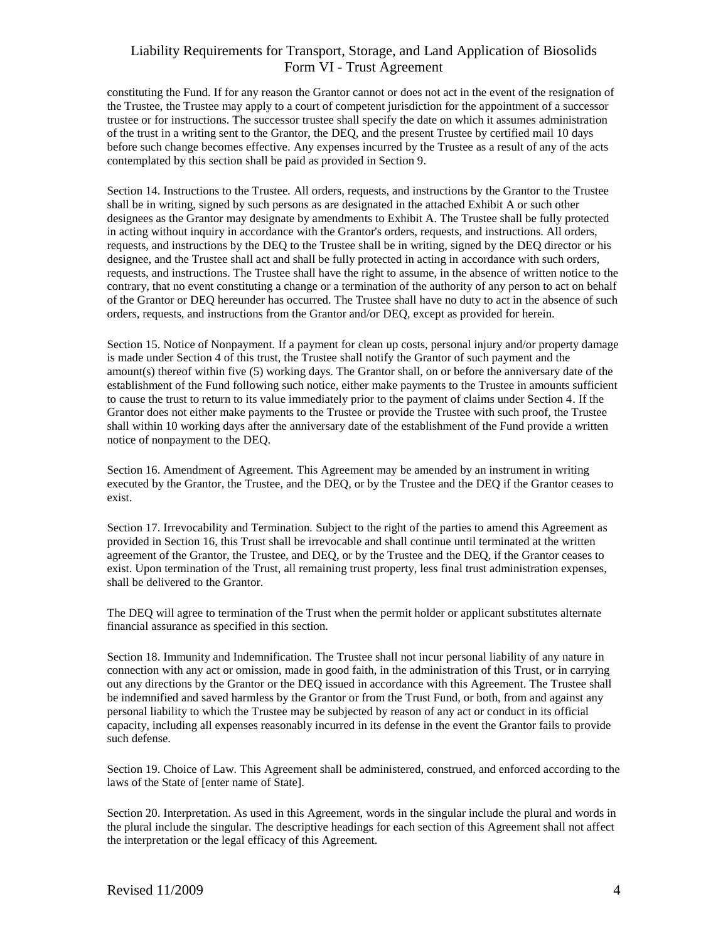constituting the Fund. If for any reason the Grantor cannot or does not act in the event of the resignation of the Trustee, the Trustee may apply to a court of competent jurisdiction for the appointment of a successor trustee or for instructions. The successor trustee shall specify the date on which it assumes administration of the trust in a writing sent to the Grantor, the DEQ, and the present Trustee by certified mail 10 days before such change becomes effective. Any expenses incurred by the Trustee as a result of any of the acts contemplated by this section shall be paid as provided in Section 9.

Section 14. Instructions to the Trustee*.* All orders, requests, and instructions by the Grantor to the Trustee shall be in writing, signed by such persons as are designated in the attached Exhibit A or such other designees as the Grantor may designate by amendments to Exhibit A. The Trustee shall be fully protected in acting without inquiry in accordance with the Grantor's orders, requests, and instructions. All orders, requests, and instructions by the DEQ to the Trustee shall be in writing, signed by the DEQ director or his designee, and the Trustee shall act and shall be fully protected in acting in accordance with such orders, requests, and instructions. The Trustee shall have the right to assume, in the absence of written notice to the contrary, that no event constituting a change or a termination of the authority of any person to act on behalf of the Grantor or DEQ hereunder has occurred. The Trustee shall have no duty to act in the absence of such orders, requests, and instructions from the Grantor and/or DEQ, except as provided for herein.

Section 15. Notice of Nonpayment*.* If a payment for clean up costs, personal injury and/or property damage is made under Section 4 of this trust, the Trustee shall notify the Grantor of such payment and the amount(s) thereof within five (5) working days. The Grantor shall, on or before the anniversary date of the establishment of the Fund following such notice, either make payments to the Trustee in amounts sufficient to cause the trust to return to its value immediately prior to the payment of claims under Section 4. If the Grantor does not either make payments to the Trustee or provide the Trustee with such proof, the Trustee shall within 10 working days after the anniversary date of the establishment of the Fund provide a written notice of nonpayment to the DEQ.

Section 16. Amendment of Agreement*.* This Agreement may be amended by an instrument in writing executed by the Grantor, the Trustee, and the DEQ, or by the Trustee and the DEQ if the Grantor ceases to exist.

Section 17. Irrevocability and Termination*.* Subject to the right of the parties to amend this Agreement as provided in Section 16, this Trust shall be irrevocable and shall continue until terminated at the written agreement of the Grantor, the Trustee, and DEQ, or by the Trustee and the DEQ, if the Grantor ceases to exist. Upon termination of the Trust, all remaining trust property, less final trust administration expenses, shall be delivered to the Grantor.

The DEQ will agree to termination of the Trust when the permit holder or applicant substitutes alternate financial assurance as specified in this section.

Section 18. Immunity and Indemnification*.* The Trustee shall not incur personal liability of any nature in connection with any act or omission, made in good faith, in the administration of this Trust, or in carrying out any directions by the Grantor or the DEQ issued in accordance with this Agreement. The Trustee shall be indemnified and saved harmless by the Grantor or from the Trust Fund, or both, from and against any personal liability to which the Trustee may be subjected by reason of any act or conduct in its official capacity, including all expenses reasonably incurred in its defense in the event the Grantor fails to provide such defense.

Section 19. Choice of Law*.* This Agreement shall be administered, construed, and enforced according to the laws of the State of [enter name of State].

Section 20. Interpretation. As used in this Agreement, words in the singular include the plural and words in the plural include the singular. The descriptive headings for each section of this Agreement shall not affect the interpretation or the legal efficacy of this Agreement.